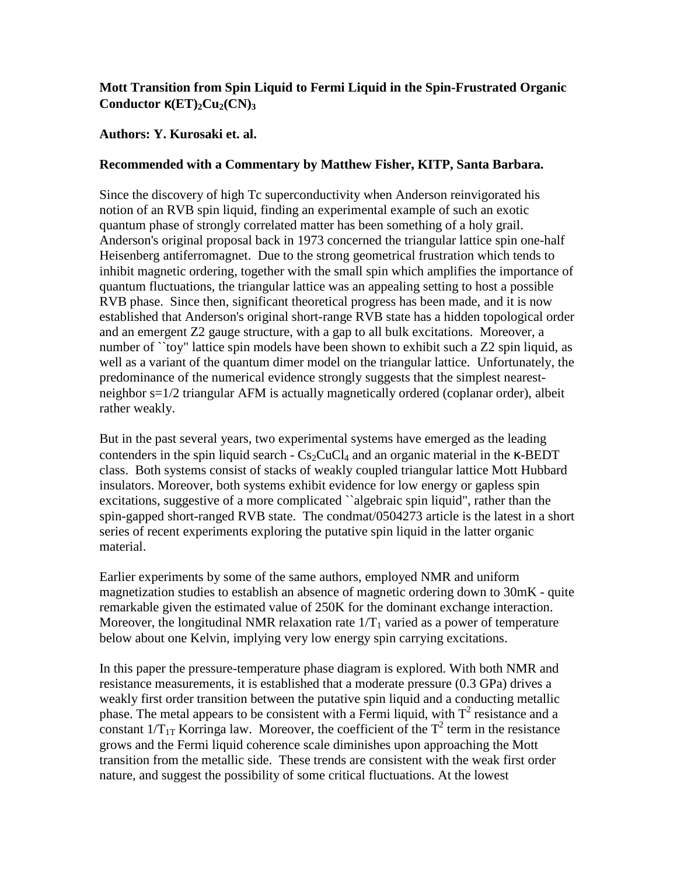## **Mott Transition from Spin Liquid to Fermi Liquid in the Spin-Frustrated Organic Conductor** κ**(ET)2Cu2(CN)<sup>3</sup>**

## **Authors: Y. Kurosaki et. al.**

## **Recommended with a Commentary by Matthew Fisher, KITP, Santa Barbara.**

Since the discovery of high Tc superconductivity when Anderson reinvigorated his notion of an RVB spin liquid, finding an experimental example of such an exotic quantum phase of strongly correlated matter has been something of a holy grail. Anderson's original proposal back in 1973 concerned the triangular lattice spin one-half Heisenberg antiferromagnet. Due to the strong geometrical frustration which tends to inhibit magnetic ordering, together with the small spin which amplifies the importance of quantum fluctuations, the triangular lattice was an appealing setting to host a possible RVB phase. Since then, significant theoretical progress has been made, and it is now established that Anderson's original short-range RVB state has a hidden topological order and an emergent Z2 gauge structure, with a gap to all bulk excitations. Moreover, a number of "toy" lattice spin models have been shown to exhibit such a Z2 spin liquid, as well as a variant of the quantum dimer model on the triangular lattice. Unfortunately, the predominance of the numerical evidence strongly suggests that the simplest nearestneighbor s=1/2 triangular AFM is actually magnetically ordered (coplanar order), albeit rather weakly.

But in the past several years, two experimental systems have emerged as the leading contenders in the spin liquid search -  $Cs_2CuCl_4$  and an organic material in the  $\kappa$ -BEDT class. Both systems consist of stacks of weakly coupled triangular lattice Mott Hubbard insulators. Moreover, both systems exhibit evidence for low energy or gapless spin excitations, suggestive of a more complicated "algebraic spin liquid", rather than the spin-gapped short-ranged RVB state. The condmat/0504273 article is the latest in a short series of recent experiments exploring the putative spin liquid in the latter organic material.

Earlier experiments by some of the same authors, employed NMR and uniform magnetization studies to establish an absence of magnetic ordering down to 30mK - quite remarkable given the estimated value of 250K for the dominant exchange interaction. Moreover, the longitudinal NMR relaxation rate  $1/T_1$  varied as a power of temperature below about one Kelvin, implying very low energy spin carrying excitations.

In this paper the pressure-temperature phase diagram is explored. With both NMR and resistance measurements, it is established that a moderate pressure (0.3 GPa) drives a weakly first order transition between the putative spin liquid and a conducting metallic phase. The metal appears to be consistent with a Fermi liquid, with  $T^2$  resistance and a constant  $1/T_{1T}$  Korringa law. Moreover, the coefficient of the  $T^2$  term in the resistance grows and the Fermi liquid coherence scale diminishes upon approaching the Mott transition from the metallic side. These trends are consistent with the weak first order nature, and suggest the possibility of some critical fluctuations. At the lowest